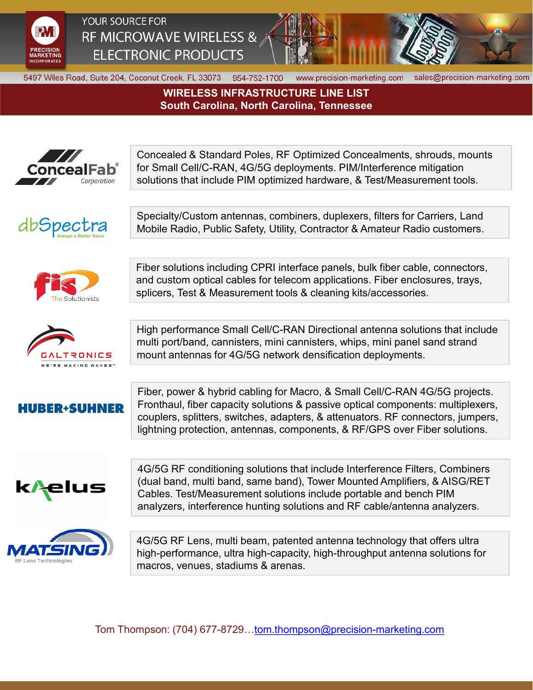

YOUR SOURCE FOR RF MICROWAVE WIRELESS & **ELECTRONIC PRODUCTS** 



5497 Wiles Road, Suite 204, Coconut Creek, FL 33073 954-752-1700

www.precision-marketing.com

sales@precision-marketing.com

**WIRELESS INFRASTRUCTURE LINE LIST South Carolina, North Carolina, Tennessee**



Tom Thompson: (704) 677-8729[…tom.thompson@precision-marketing.com](mailto:tom.thompson@precision-marketing.com)